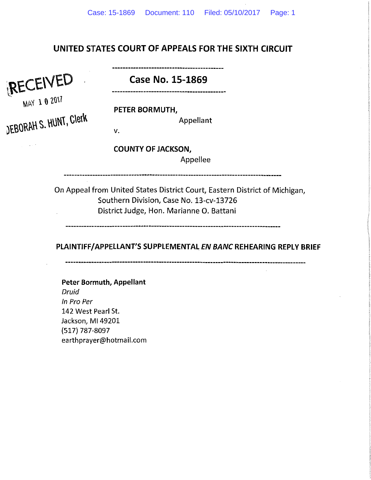# UNITED STATES COURT OF APPEALS FOR THE SIXTH CIRCUIT

RECEIVED Case No. 15-1869

**MAY 1 0 2017** 

 $\gamma_{\rm c} = 0.02$ 

DEBORAH S. HUNT, CIETK

PETER BORMUTH,

Appellant

v.

COUNTY OF JACKSON,

Appellee

On Appeal from United States District Court, Eastern District of Michigan, Southern Division, Case No. 13-cv-13726 District Judge, Hon. Marianne 0. Battani

--------------------

PLAINTIFF/APPELLANT'S SUPPLEMENTAL *EN BANC* REHEARING REPLY BRIEF

Peter Bormuth, Appellant Druid In Pro Per 142 West Pearl St. Jackson, Ml49201 (517) 787-8097

earthprayer@hotmail.com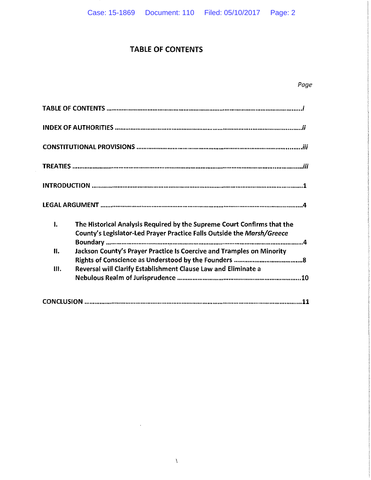## TABLE OF CONTENTS

| I.   | The Historical Analysis Required by the Supreme Court Confirms that the<br>County's Legislator-Led Prayer Practice Falls Outside the Marsh/Greece |
|------|---------------------------------------------------------------------------------------------------------------------------------------------------|
| II.  | Jackson County's Prayer Practice Is Coercive and Tramples on Minority                                                                             |
| III. | Reversal will Clarify Establishment Clause Law and Eliminate a                                                                                    |
|      |                                                                                                                                                   |

 $\ddot{\phantom{a}}$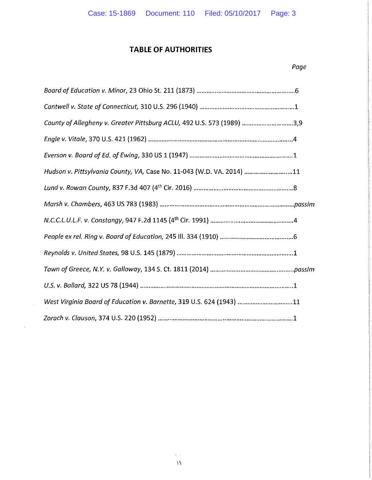# **TABLE OF AUTHORITIES**

## *Page*

| County of Allegheny v. Greater Pittsburg ACLU, 492 U.S. 573 (1989) 3,9 |
|------------------------------------------------------------------------|
|                                                                        |
|                                                                        |
| Hudson v. Pittsylvania County, VA, Case No. 11-043 (W.D. VA. 2014) 11  |
|                                                                        |
|                                                                        |
|                                                                        |
|                                                                        |
|                                                                        |
|                                                                        |
|                                                                        |
| West Virginia Board of Education v. Barnette, 319 U.S. 624 (1943) 11   |
|                                                                        |

 $\sim 10^{-10}$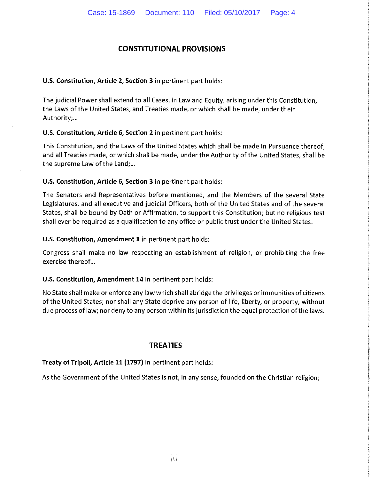## **CONSTITUTIONAL PROVISIONS**

### **U.S. Constitution, Article 2, Section 3** in pertinent part holds:

The judicial Power shall extend to all Cases, in Law and Equity, arising under this Constitution, the Laws of the United States, and Treaties made, or which shall be made, under their Authority;...

**U.S. Constitution, Article 6, Section 2** in pertinent part holds:

This Constitution, and the Laws of the United States which shall be made in Pursuance thereof; and all Treaties made, or which shall be made, under the Authority of the United States, shall be the supreme Law of the Land;...

**U.S. Constitution, Article 6, Section 3** in pertinent part holds:

The Senators and Representatives before mentioned, and the Members of the several State Legislatures, and all executive and judicial Officers, both of the United States and of the several States, shall be bound by Oath or Affirmation, to support this Constitution; but no religious test shall ever be required as a qualification to any office or public trust under the United States.

**U.S. Constitution, Amendment 1** in pertinent part holds:

Congress shall make no law respecting an establishment of religion, or prohibiting the free exercise thereof...

### **U.S. Constitution, Amendment 14** in pertinent part holds:

No State shall make or enforce any law which shall abridge the privileges or immunities of citizens of the United States; nor shall any State deprive any person of life, liberty, or property, without due process of law; nor deny to any person within its jurisdiction the equal protection of the laws.

## **TREATIES**

**Treaty of Tripoli, Article 11 (1797)** in pertinent part holds:

As the Government of the United States is not, in any sense, founded on the Christian religion;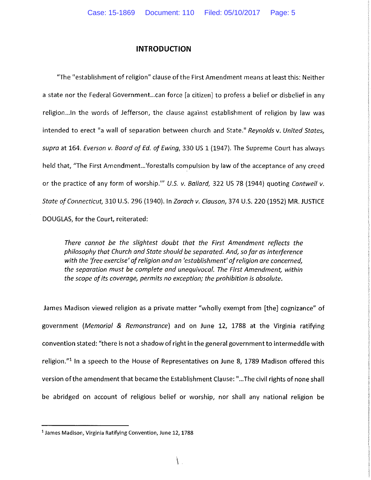#### **INTRODUCTION**

"The "establishment of religion" clause of the First Amendment means at least this: Neither a state nor the Federal Government... can force [a citizen] to profess a belief or disbelief in any religion... In the words of Jefferson, the clause against establishment of religion by law was intended to erect "a wall of separation between church and State." *Reynolds* v. *United States, supra* at 164. *Everson v. Boord of Ed. of Ewing,* 330 US 1 (1947). The Supreme Court has always held that, "The First Amendment...'forestalls compulsion by law of the acceptance of any creed or the practice of any form of worship."' *U.S. v. Ballard,* 322 US 78 (1944) quoting *Cantwell v. State of Connecticut,* 310 U.S. 296 (1940). In *Zorach v. Clauson,* 374 U.S. 220 (1952) MR. JUSTICE DOUGLAS, for the Court, reiterated:

*There cannot be the slightest doubt that the First Amendment reflects the philosophy that Church and State should be separated. And, so far as interference with the 'free exercise' of religion and an 'establishment' of religion are concerned, the separation must be complete and unequivocal. The First Amendment, within the scope of its coverage, permits no exception; the prohibition is absolute.* 

James Madison viewed religion as a private matter "wholly exempt from [the] cognizance" of government *(Memorial* & *Remonstrance)* and on June 12, 1788 at the Virginia ratifying convention stated: "there is not a shadow of right in the general government to intermeddle with religion."<sup>1</sup> In a speech to the House of Representatives on June 8, 1789 Madison offered this version of the amendment that became the Establishment Clause: " ... The civil rights of none shall be abridged on account of religious belief or worship, nor shall any national religion be

<sup>1</sup>**James Madison, Virginia Ratifying Convention, June 12, 1788**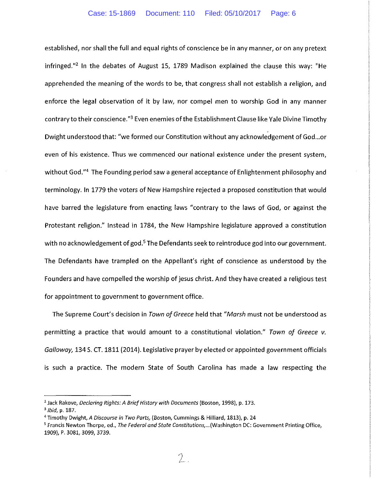established, nor shall the full and equal rights of conscience be in any manner, or on any pretext infringed."<sup>2</sup> In the debates of August 15, 1789 Madison explained the clause this way: "He apprehended the meaning of the words to be, that congress shall not establish a religion, and enforce the legal observation of it by law, nor compel men to worship God in any manner contrary to their conscience.<sup>"3</sup> Even enemies of the Establishment Clause like Yale Divine Timothy Dwight understood that: "we formed our Constitution without any acknowledgement of God ... or even of his existence. Thus we commenced our national existence under the present system, without God."<sup>4</sup> The Founding period saw a general acceptance of Enlightenment philosophy and terminology. In 1779 the voters of New Hampshire rejected a proposed constitution that would have barred the legislature from enacting laws "contrary to the laws of God, or against the Protestant religion." Instead in 1784, the New Hampshire legislature approved a constitution with no acknowledgement of god.<sup>5</sup> The Defendants seek to reintroduce god into our government. The Defendants have trampled on the Appellant's right of conscience as understood by the Founders and have compelled the worship of jesus christ. And they have created a religious test for appointment to government to government office.

The Supreme Court's decision in *Town of Greece* held that *"Marsh* must not be understood as permitting a practice that would amount to a constitutional violation." *Town of Greece v. Galloway,* 134 S. CT. 1811 (2014). Legislative prayer by elected or appointed government officials is such a practice. The modern State of South Carolina has made a law respecting the

<sup>2</sup> Jack Rakove, *Declaring Rights: A Brief History with Documents* (Boston, 1998), p. 173.

<sup>&</sup>lt;sup>3</sup> *Ibid, p. 187.*<br><sup>4</sup> Timothy Dwight*, A Discourse in Two Parts,* (Boston, Cummings & Hilliard, 1813), p. 24<br><sup>5</sup> Francis Newton Thorpe, ed., *The Federal and State Constitutions,..*.(Washington DC: Government Printing Of

<sup>1909),</sup> P. 3081, 3099, 3739.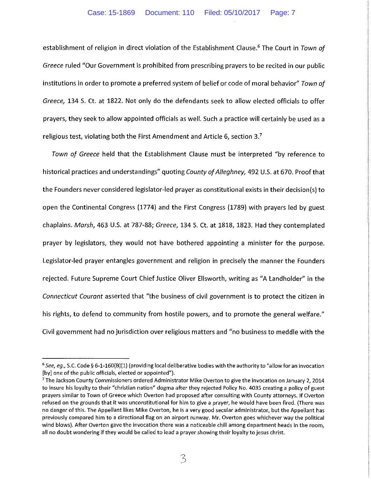establishment of religion in direct violation of the Establishment Clause.<sup>6</sup> The Court in *Town of Greece* ruled "Our Government is prohibited from prescribing prayers to be recited in our public institutions in order to promote a preferred system of belief or code of moral behavior" *Town of Greece,* 134 S. Ct. at 1822. Not only do the defendants seek to allow elected officials to offer prayers, they seek to allow appointed officials as well. Such a practice will certainly be used as a religious test, violating both the First Amendment and Article 6, section 3.7

*Town of Greece* held that the Establishment Clause must be interpreted "by reference to historical practices and understandings" quoting *County of Alleghney,* 492 U.S. at 670. Proof that the Founders never considered legislator-led prayer as constitutional exists in their decision{s) to open the Continental Congress {1774) and the First Congress {1789) with prayers led by guest chaplains. *Marsh,* 463 U.S. at 787-88; *Greece,* 134 S. Ct. at 1818, 1823. Had they contemplated prayer by legislators, they would not have bothered appointing a minister for the purpose. Legislator-led prayer entangles government and religion in precisely the manner the Founders rejected. Future Supreme Court Chief Justice Oliver Ellsworth, writing as "A Landholder" in the *Connecticut Courant* asserted that "the business of civil government is to protect the citizen in his rights, to defend to community from hostile powers, and to promote the general welfare." Civil government had no jurisdiction over religious matters and "no business to meddle with the

<sup>6</sup>*See, eg.,* S.C. Code§ 6-1-160(B)(l) (providing local deliberative bodies with the authority to "allow for an invocation [by] one of the public officials, elected or appointed"). 7 **The Jackson County Commissioners ordered Administrator Mike Overton to give the invocation on January 2, 2014** 

to insure his loyalty to their "christian nation" dogma after they rejected Policy No. 4035 creating a policy of guest prayers similar to Town of Greece which Overton had proposed after consulting with County attorneys. If Overton refused on the grounds that it was unconstitutional for him to give a prayer, he would have been fired. (There was no danger of this. The Appellant likes Mike Overton, he is a very good secular administrator, but the Appellant has **previously compared him to a directional flag on an airport runway. Mr. Overton goes whichever way the political wind blows). After Overton gave the invocation there was a noticeable chill among department heads in the room,**  all no doubt wondering if they would be called to lead a prayer showing their loyalty to jesus christ.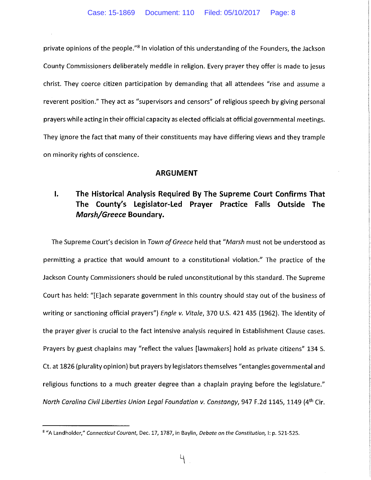private opinions of the people."<sup>8</sup> In violation of this understanding of the Founders, the Jackson County Commissioners deliberately meddle in religion. Every prayer they offer is made to jesus christ. They coerce citizen participation by demanding that all attendees "rise and assume a reverent position." They act as "supervisors and censors" of religious speech by giving personal prayers while acting in their official capacity as elected officials at official governmental meetings. They ignore the fact that many of their constituents may have differing views and they trample on minority rights of conscience.

#### **ARGUMENT**

# **I. The Historical Analysis Required By The Supreme Court Confirms That The County's Legislator-Led Prayer Practice Falls Outside The**  *Marsh/Greece* **Boundary.**

The Supreme Court's decision in *Town of Greece* held that *"Marsh* must not be understood as permitting a practice that would amount to a constitutional violation." The practice of the Jackson County Commissioners should be ruled unconstitutional by this standard. The Supreme Court has held: "[E]ach separate government in this country should stay out of the business of writing or sanctioning official prayers"} *Engle v. Vitale,* 370 U.S. 421 435 (1962}. The identity of the prayer giver is crucial to the fact intensive analysis required in Establishment Clause cases. Prayers by guest chaplains may "reflect the values [lawmakers] hold as private citizens" 134 S. Ct. at 1826 (plurality opinion} but prayers by legislators themselves "entangles governmental and religious functions to a much greater degree than a chaplain praying before the legislature." *North Carolina Civil Liberties Union Legal Foundation v. Constangy,* 947 F.2d 1145, 1149 (41h Cir.

<sup>8</sup>**"A Landholder,"** *Connecticut Courant,* **Dec. 17, 1787, in Baylin,** *Debate on the Constitution,* **1: p. 521-525.**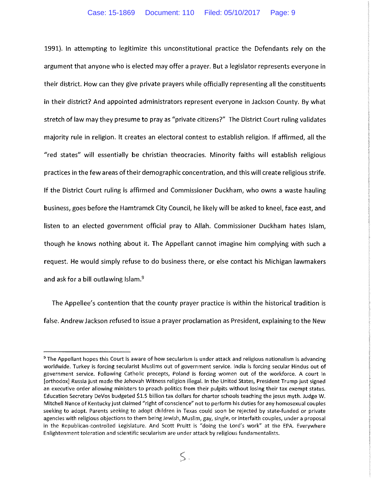1991). In attempting to legitimize this unconstitutional practice the Defendants rely on the argument that anyone who is elected may offer a prayer. But a legislator represents everyone in their district. How can they give private prayers while officially representing all the constituents in their district? And appointed administrators represent everyone in Jackson County. By what stretch of law may they presume to pray as "private citizens?" The District Court ruling validates majority rule in religion. It creates an electoral contest to establish religion. If affirmed, all the "red states" will essentially be christian theocracies. Minority faiths will establish religious practices in the few areas of their demographic concentration, and this will create religious strife. If the District Court ruling is affirmed and Commissioner Duckham, who owns a waste hauling business, goes before the Hamtramck City Council, he likely will be asked to kneel, face east, and listen to an elected government official pray to Allah. Commissioner Duckham hates Islam, though he knows nothing about it. The Appellant cannot imagine him complying with such a request. He would simply refuse to do business there, or else contact his Michigan lawmakers and ask for a bill outlawing Islam.<sup>9</sup>

The Appellee's contention that the county prayer practice is within the historical tradition is false. Andrew Jackson refused to issue a prayer proclamation as President, explaining to the New

<sup>9</sup>**The Appellant hopes this Court is aware of how secularism is under attack and religious nationalism is advancing worldwide. Turkey is forcing secularist Muslims out of government service. India is forcing secular Hindus out of government service. Following Catholic precepts, Poland is forcing women out of the workforce. A court in**  [orthodox] Russia just made the Jehovah Witness religion illegal. In the United States, President Trump just signed **an executive order allowing ministers to preach politics from their pulpits without losing their tax exempt status.**  Education Secretary DeVos budgeted \$1.5 billion tax dollars for charter schools teaching the jesus myth. Judge W. Mitchell Nance of Kentucky just claimed "right of conscience" not to perform his duties for any homosexual couples **seeking to adopt. Parents seeking to adopt children in Texas could soon be rejected by state-funded or private**  agencies with religious objections to them being Jewish, Muslim, gay, single, or interfaith couples, under a proposal in the Republican-controlled Legislature. And Scott Pruitt is "doing the Lord's work" at the EPA. Everywhere **Enlightenment toleration and scientific secularism are under attack by religious fundamentalists.**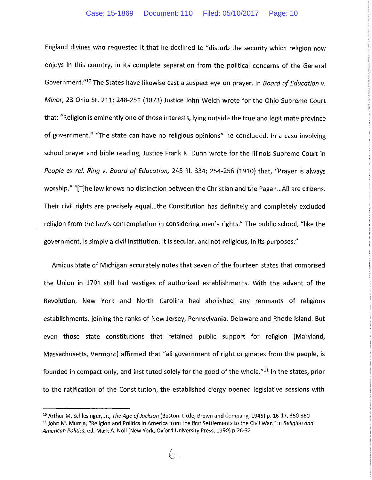England divines who requested it that he declined to "disturb the security which religion now enjoys in this country, in its complete separation from the political concerns of the General Government."10 The States have likewise cast a suspect eye on prayer. In *Board of Education v. Minor,* 23 Ohio St. 211; 248-251 (1873) Justice John Welch wrote for the Ohio Supreme Court that: "Religion is eminently one of those interests, lying outside the true and legitimate province of government." "The state can have no religious opinions" he concluded. In a case involving school prayer and bible reading, Justice Frank K. Dunn wrote for the Illinois Supreme Court in *People ex ref. Ring v. Board of Education,* 245 Ill. 334; 254-256 (1910) that, "Prayer is always worship." "[T]he law knows no distinction between the Christian and the Pagan...All are citizens. Their civil rights are precisely equal...the Constitution has definitely and completely excluded religion from the law's contemplation in considering men's rights." The public school, "like the government, is simply a civil institution. It is secular, and not religious, in its purposes."

Amicus State of Michigan accurately notes that seven of the fourteen states that comprised the Union in 1791 still had vestiges of authorized establishments. With the advent of the Revolution, New York and North Carolina had abolished any remnants of religious establishments, joining the ranks of New Jersey, Pennsylvania, Delaware and Rhode Island. But even those state constitutions that retained public support for religion (Maryland, Massachusetts, Vermont) affirmed that "all government of right originates from the people, is founded in compact only, and instituted solely for the good of the whole."<sup>11</sup> In the states, prior to the ratification of the Constitution, the established clergy opened legislative sessions with

<sup>&</sup>lt;sup>10</sup> Arthur M. Schlesinger, Jr., The Age of Jackson (Boston: Little, Brown and Company, 1945) p. 16-17, 350-360 <sup>11</sup> John M. Murrin, "Religion and Politics in America from the first Settlements to the Civil War." In Religion and American Politics, ed. Mark A. Noll (New York, Oxford University Press, 1990) p.26-32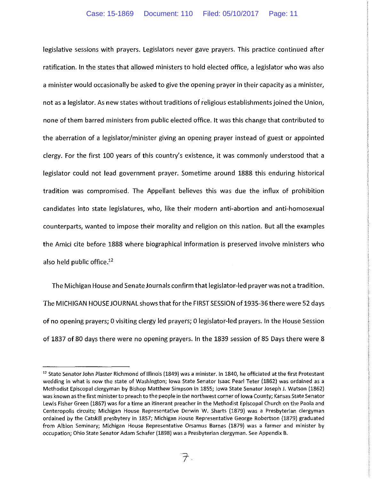legislative sessions with prayers. Legislators never gave prayers. This practice continued after ratification. In the states that allowed ministers to hold elected office, a legislator who was also a minister would occasionally be asked to give the opening prayer in their capacity as a minister, not as a legislator. As new states without traditions of religious establishments joined the Union, none of them barred ministers from public elected office. It was this change that contributed to the aberration of a legislator/minister giving an opening prayer instead of guest or appointed clergy. For the first 100 years of this country's existence, it was commonly understood that a legislator could not lead government prayer. Sometime around 1888 this enduring historical tradition was compromised. The Appellant believes this was due the influx of prohibition candidates into state legislatures, who, like their modern anti-abortion and anti-homosexual counterparts, wanted to impose their morality and religion on this nation. But all the examples the Amici cite before 1888 where biographical information is preserved involve ministers who also held public office. $12$ 

The Michigan House and Senate Journals confirm that legislator-led prayer was not a tradition. The MICHIGAN HOUSE JOURNAL shows that for the FIRST SESSION of 1935-36 there were 52 days of no opening prayers; 0 visiting clergy led prayers; 0 legislator-led prayers. In the House Session of 1837 of 80 days there were no opening prayers. In the 1839 session of 85 Days there were 8

<sup>&</sup>lt;sup>12</sup> State Senator John Plaster Richmond of Illinois (1849) was a minister. In 1840, he officiated at the first Protestant wedding in what is now the state of Washington; Iowa State Senator Isaac Pearl Teter (1862) was ordained as a Methodist Episcopal clergyman by Bishop Matthew Simpson in 1855; Iowa State Senator Joseph J. Watson (1862) **was known as the first minister to preach to the people in the northwest corner of Iowa County; Kansas State Senator**  Lewis Fisher Green (1867) was for a time an itinerant preacher in the Methodist Episcopal Church on the Paola and Centeropolis circuits; Michigan House Representative Derwin W. Sharts (1879) was a Presbyterian clergyman ordained by the Catskill presbytery in 1857; Michigan House Representative George Robertson (1879) graduated from Albion Seminary; Michigan House Representative Orsamus Barnes (1879) was a farmer and minister by occupation; Ohio State Senator Adam Schafer (1898) was a Presbyterian clergyman. See Appendix B.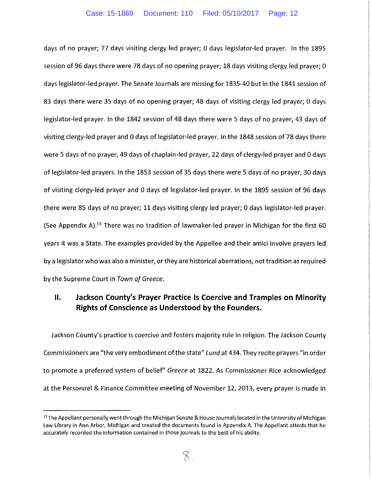days of no prayer; 77 days visiting clergy led prayer; 0 days legislator-led prayer. In the 1895 session of 96 days there were 78 days of no opening prayer; 18 days visiting clergy led prayer; 0 days legislator-led prayer. The Senate Journals are missing for 1835-40 but in the 1841 session of 83 days there were 35 days of no opening prayer; 48 days of visiting clergy led prayer; 0 days legislator-led prayer. In the 1842 session of 48 days there were 5 days of no prayer, 43 days of visiting clergy-led prayer and 0 days of legislator-led prayer. In the 1848 session of 78 days there were 5 days of no prayer, 49 days of chaplain-led prayer, 22 days of clergy-led prayer and 0 days of legislator-led prayers. In the 1853 session of 35 days there were 5 days of no prayer, 30 days of visiting clergy-led prayer and 0 days of legislator-led prayer. In the 1895 session of 96 days there were 85 days of no prayer; 11 days visiting clergy led prayer; 0 days legislator-led prayer. (See Appendix A).<sup>13</sup> There was no tradition of lawmaker-led prayer in Michigan for the first 60 years it was a State. The examples provided by the Appellee and their amici involve prayers led by a legislator who was also a minister, or they are historical aberrations, not tradition as required by the Supreme Court in *Town of Greece.* 

## **11. Jackson County's Prayer Practice Is Coercive and Tramples on Minority Rights of Conscience as Understood by the Founders.**

Jackson County's practice is coercive and fosters majority rule in religion. The Jackson County Commissioners are "the very embodiment of the state" Lund at 434. They recite prayers "in order to promote a preferred system of belief" *Greece* at 1822. As Commissioner Rice acknowledged at the Personnel & Finance Committee meeting of November 12, 2013, every prayer is made in

<sup>&</sup>lt;sup>13</sup> The Appellant personally went through the Michigan Senate & House Journals located in the University of Michigan law Library in Ann Arbor, Michigan and created the documents found in Appendix A. The Appellant attests that he accurately recorded the information contained in those journals to the best of his ability.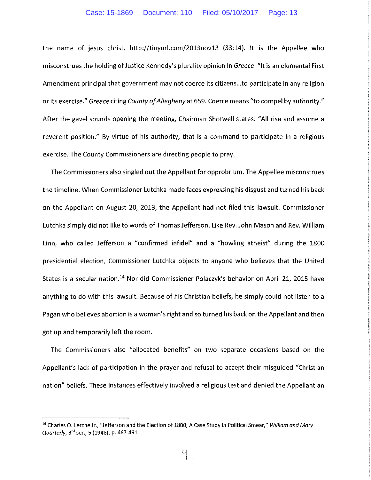#### Case: 15-1869 Document: 110 Filed: 05/10/2017 Page: 13

the name of jesus christ. http:/ /tinyurl.com/2013nov13 {33:14). It is the Appellee who misconstrues the holding of Justice Kennedy's plurality opinion in *Greece.* "It is an elemental First Amendment principal that government may not coerce its citizens ... to participate in any religion or its exercise." *Greece* citing *County of Allegheny* at 659. Coerce means "to compel by authority." After the gavel sounds opening the meeting, Chairman Shotwell states: "All rise and assume a reverent position." By virtue of his authority, that is a command to participate in a religious exercise. The County Commissioners are directing people to pray.

The Commissioners also singled out the Appellant for opprobrium. The Appellee misconstrues the timeline. When Commissioner Lutchka made faces expressing his disgust and turned his back on the Appellant on August 20, 2013, the Appellant had not filed this lawsuit. Commissioner Lutchka simply did not like to words of Thomas Jefferson. Like Rev. John Mason and Rev. William Linn, who called Jefferson a "confirmed infidel" and a "howling atheist" during the 1800 presidential election, Commissioner Lutchka objects to anyone who believes that the United States is a secular nation.<sup>14</sup> Nor did Commissioner Polaczyk's behavior on April 21, 2015 have anything to do with this lawsuit. Because of his Christian beliefs, he simply could not listen to a Pagan who believes abortion is a woman's right and so turned his back on the Appellant and then got up and temporarily left the room.

The Commissioners also "allocated benefits" on two separate occasions based on the Appellant's lack of participation in the prayer and refusal to accept their misguided "Christian nation" beliefs. These instances effectively involved a religious test and denied the Appellant an

<sup>&</sup>lt;sup>14</sup> Charles O. Lerche Jr., "Jefferson and the Election of 1800; A Case Study in Political Smear," William and Mary Quarterly, 3<sup>rd</sup> ser., 5 (1948): p. 467-491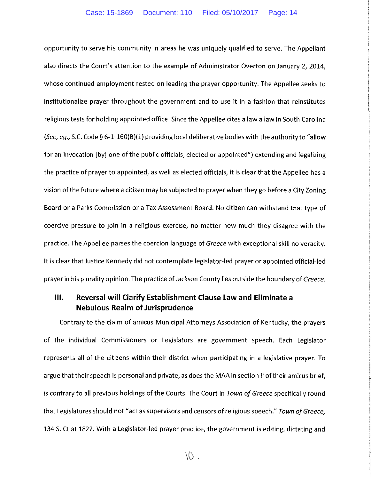opportunity to serve his community in areas he was uniquely qualified to serve. The Appellant also directs the Court's attention to the example of Administrator Overton on January 2, 2014, whose continued employment rested on leading the prayer opportunity. The Appellee seeks to institutionalize prayer throughout the government and to use it in a fashion that reinstitutes religious tests for holding appointed office. Since the Appellee cites a law a law in South Carolina *(See, eg.,* S.C. Code§ 6-1-160{B)(1) providing local deliberative bodies with the authority to "allow for an invocation [by] one of the public officials, elected or appointed") extending and legalizing the practice of prayer to appointed, as well as elected officials, it is clear that the Appellee has a vision of the future where a citizen may be subjected to prayer when they go before a City Zoning Board or a Parks Commission or a Tax Assessment Board. No citizen can withstand that type of coercive pressure to join in a religious exercise, no matter how much they disagree with the practice. The Appellee parses the coercion language of *Greece* with exceptional skill no veracity. It is clear that Justice Kennedy did not contemplate legislator-led prayer or appointed official-led prayer in his plurality opinion. The practice of Jackson County lies outside the boundary of *Greece.* 

## **Ill. Reversal will Clarify Establishment Clause Law and Eliminate a Nebulous Realm of Jurisprudence**

Contrary to the claim of amicus Municipal Attorneys Association of Kentucky, the prayers of the individual Commissioners or Legislators are government speech. Each Legislator represents all of the citizens within their district when participating in a legislative prayer. To argue that their speech is personal and private, as does the MAA in section II of their amicus brief, is contrary to all previous holdings of the Courts. The Court in *Town of Greece* specifically found that Legislatures should not "act as supervisors and censors of religious speech." *Town of Greece,*  134 S. Ct at 1822. With a Legislator-led prayer practice, the government is editing, dictating and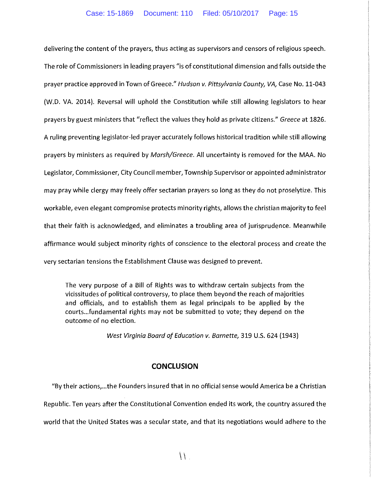delivering the content of the prayers, thus acting as supervisors and censors of religious speech. The role of Commissioners in leading prayers "is of constitutional dimension and falls outside the prayer practice approved in Town of Greece." *Hudson v. Pittsylvonio County, VA,* Case No. 11-043 (W.D. VA. 2014). Reversal will uphold the Constitution while still allowing legislators to hear prayers by guest ministers that "reflect the values they hold as private citizens." *Greece* at 1826. A ruling preventing legislator-led prayer accurately follows historical tradition while still allowing prayers by ministers as required by *Marsh/Greece.* All uncertainty is removed for the MAA. No Legislator, Commissioner, City Council member, Township Supervisor or appointed administrator may pray while clergy may freely offer sectarian prayers so long as they do not proselytize. This workable, even elegant compromise protects minority rights, allows the christian majority to feel that their faith is acknowledged, and eliminates a troubling area of jurisprudence. Meanwhile affirmance would subject minority rights of conscience to the electoral process and create the very sectarian tensions the Establishment Clause was designed to prevent.

The very purpose of a Bill of Rights was to withdraw certain subjects from the vicissitudes of political controversy, to place them beyond the reach of majorities and officials, and to establish them as legal principals to be applied by the courts .. .fundamental rights may not be submitted to vote; they depend on the outcome of no election.

*West Virginia Board of Education v. Barnette,* 319 U.S. 624 (1943)

### **CONCLUSION**

"By their actions, ... the Founders insured that in no official sense would America be a Christian Republic. Ten years after the Constitutional Convention ended its work, the country assured the world that the United States was a secular state, and that its negotiations would adhere to the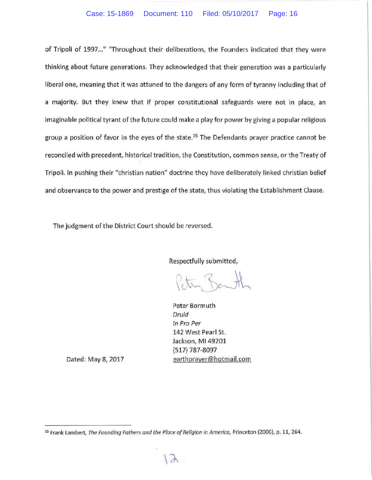of Tripoli of 1997..." "Throughout their deliberations, the Founders indicated that they were thinking about future generations. They acknowledged that their generation was a particularly liberal one, meaning that it was attuned to the dangers of any form of tyranny including that of a majority. But they knew that if proper constitutional safeguards were not in place, an imaginable political tyrant of the future could make a play for power by giving a popular religious group a position of favor in the eyes of the state.<sup>15</sup> The Defendants prayer practice cannot be reconciled with precedent, historical tradition, the Constitution, common sense, or the Treaty of Tripoli. In pushing their "christian nation" doctrine they have deliberately linked christian belief and observance to the power and prestige of the state, thus violating the Establishment Clause.

The judgment of the District Court should be reversed.

Respectfully submitted,

Peter Bormuth Druid In Pro Per 142 West Pearl St. Jackson, Ml 49201 (517) 787-8097 earth prayer@hotmail.com

Dated: May 8, 2017

<sup>15</sup> Frank Lambert, The Founding Fathers and the Place of Religion in America, Princeton (2006), p. 11, 264.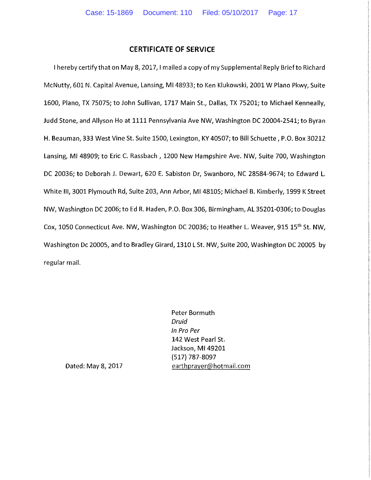### **CERTIFICATE OF SERVICE**

I hereby certify that on May 8, 2017, I mailed a copy of my Supplemental Reply Brief to Richard McNutty, 601 N. Capital Avenue, Lansing, Ml48933; to Ken Klukowski, 2001 W Plano Pkwy, Suite 1600, Plano, TX 75075; to John Sullivan, 1717 Main St., Dallas, TX 75201; to Michael Kenneally, Judd Stone, and Allyson Ho at 1111 Pennsylvania Ave NW, Washington DC 20004-2541; to Byran H. Beauman, 333 West Vine St. Suite 1500, Lexington, KY 40507; to Bill Schuette, P.O. Box 30212 Lansing, Ml 48909; to Eric C. Rassbach , 1200 New Hampshire Ave. NW, Suite 700, Washington DC 20036; to Deborah J. Dewart, 620 E. Sabiston Dr, Swanboro, NC 28584-9674; to Edward L. White Ill, 3001 Plymouth Rd, Suite 203, Ann Arbor, Ml48105; Michael B. Kimberly, 1999 KStreet NW, Washington DC 2006; to Ed R. Haden, P.O. Box 306, Birmingham, AL 35201-0306; to Douglas Cox, 1050 Connecticut Ave. NW, Washington DC 20036; to Heather L. Weaver, 915 15'h St. NW, Washington De 20005, and to Bradley Girard, 1310 L St. NW, Suite 200, Washington DC 20005 by regular mail.

> Peter Bormuth Druid In Pro Per 142 West Pearl St. Jackson, Ml 49201 (517) 787-8097 earthprayer@hotmail.com

Dated: May 8, 2017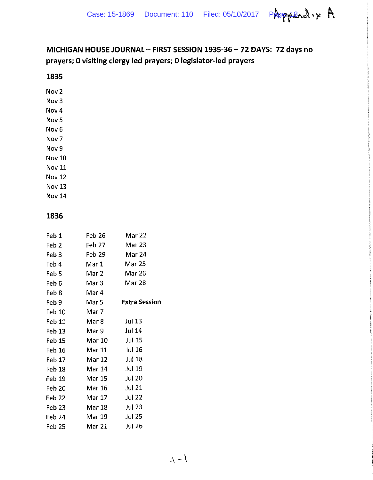

# **MICHIGAN HOUSE JOURNAL- FIRST SESSION 1935-36- 72 DAYS: 72 days no prayers; 0 visiting clergy led prayers; 0 legislator-led prayers**

## **1835**

Nov2

- Nov3
- Nov4

Nov<sub>5</sub>

Nov<sub>6</sub> Nov 7

Nov9

Nov 10

Nov 11

Nov 12

Nov 13

Nov 14

## **1836**

| Feb 1         | Feb 26        | Mar 22               |
|---------------|---------------|----------------------|
| Feb 2         | Feb 27        | Mar 23               |
| Feb 3         | Feb 29        | Mar 24               |
| Feb 4         | Mar 1         | <b>Mar 25</b>        |
| Feb 5         | Mar 2         | Mar 26               |
| Feb 6         | Mar 3         | <b>Mar 28</b>        |
| Feb 8         | Mar 4         |                      |
| Feb 9         | Mar 5         | <b>Extra Session</b> |
| Feb 10        | Mar 7         |                      |
| Feb 11        | Mar 8         | Jul 13               |
| Feb 13        | Mar 9         | <b>Jul 14</b>        |
| Feb 15        | Mar 10        | Jul 15               |
| Feb 16        | Mar 11        | Jul 16               |
| Feb 17        | Mar 12 Jul 18 |                      |
| Feb 18        | Mar 14 Jul 19 |                      |
| Feb 19        | Mar 15        | <b>Jul 20</b>        |
| <b>Feb 20</b> | Mar 16 Jul 21 |                      |
| Feb 22        | Mar 17        | Jul 22               |
| Feb 23        | Mar 18        | Jul 23               |
| Feb 24        | Mar 19        | <b>Jul 25</b>        |
| Feb 25        | Mar 21        | <b>Jul 26</b>        |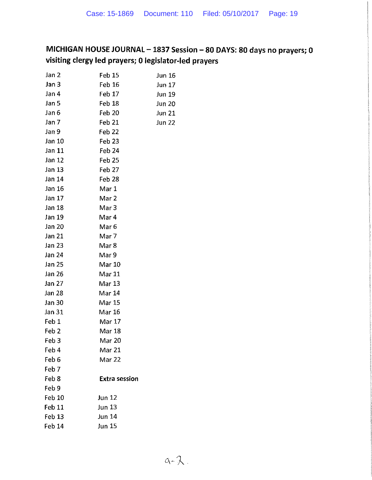# **MICHIGAN HOUSE JOURNAL- 1837 Session- 80 DAYS: 80 days no prayers; 0 visiting clergy led prayers; 0 legislator-led prayers**

| Jan 2             | Feb 15               | Jun 16        |
|-------------------|----------------------|---------------|
| Jan 3             | Feb 16               | Jun 17        |
| Jan 4             | Feb 17               | Jun 19        |
| Jan 5             | Feb 18               | Jun 20        |
| Jan 6             | Feb 20               | <b>Jun 21</b> |
| Jan 7             | Feb 21               | <b>Jun 22</b> |
| Jan 9             | Feb 22               |               |
| Jan 10            | Feb <sub>23</sub>    |               |
| Jan 11            | Feb 24               |               |
| Jan 12            | Feb 25               |               |
| Jan 13            | Feb 27               |               |
| Jan 14            | Feb 28               |               |
| Jan 16            | Mar 1                |               |
| Jan 17            | Mar 2                |               |
| Jan 18            | Mar 3                |               |
| Jan 19            | Mar 4                |               |
| Jan 20            | Mar 6                |               |
| Jan 21            | Mar 7                |               |
| Jan 23            | Mar 8                |               |
| Jan 24            | Mar 9                |               |
| Jan 25            | Mar 10               |               |
| Jan 26            | Mar 11               |               |
| Jan 27            | Mar 13               |               |
| Jan 28            | Mar 14               |               |
| Jan 30            | Mar 15               |               |
| Jan 31            | <b>Mar 16</b>        |               |
| Feb 1             | Mar 17               |               |
| Feb <sub>2</sub>  | Mar 18               |               |
| Feb 3             | Mar 20               |               |
| Feb 4             | Mar 21               |               |
| Feb 6             | Mar 22               |               |
| Feb <sub>7</sub>  |                      |               |
| Feb 8             | <b>Extra session</b> |               |
| Feb 9             |                      |               |
| Feb 10            | <b>Jun 12</b>        |               |
| Feb 11            | $\ln n$ 13           |               |
| Feb <sub>13</sub> | <b>Jun 14</b>        |               |
| Feb 14            | <b>Jun 15</b>        |               |
|                   |                      |               |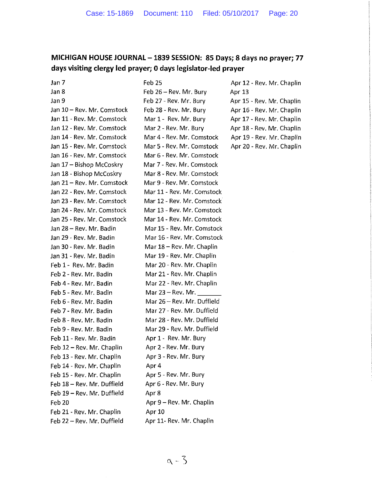## **MICHIGAN HOUSE JOURNAL- 1839 SESSION: 85 Days; 8 days no prayer; 77 days visiting clergy led prayer; 0 days legislator-led prayer**

Jan 7 Jan 8

#### Feb 25

Jan 9 Jan 10 - Rev. Mr. Comstock Jan 11 - Rev. Mr. Comstock Jan 12- Rev. Mr. Comstock Jan 14- Rev. Mr. Comstock Jan 15- Rev. Mr. Comstock Jan 16- Rev. Mr. Comstock Jan 17 - Bishop McCoskry Jan 18- Bishop McCoskry Jan 21 - Rev. Mr. Comstock Jan 22- Rev. Mr. Comstock Jan 23- Rev. Mr. Comstock Jan 24- Rev. Mr. Comstock Jan 25- Rev. Mr. Comstock Jan 28- Rev. Mr. Badin Jan 29- Rev. Mr. Badin Jan 30- Rev. Mr. Badin Jan 31- Rev. Mr. Badin Feb 1- Rev. Mr. Badin Feb 2- Rev. Mr. Badin Feb 4- Rev. Mr. Badin Feb 5- Rev. Mr. Badin Feb 6- Rev. Mr. Badin Feb 7- Rev. Mr. Badin Feb 8- Rev. Mr. Badin Feb 9- Rev. Mr. Badin Feb 11- Rev. Mr. Badin Feb 12 - Rev. Mr. Chaplin Feb 13- Rev. Mr. Chaplin Feb 14- Rev. Mr. Chaplin Feb 15- Rev. Mr. Chaplin Feb 18- Rev. Mr. Duffield Feb 19 - Rev. Mr. Duffield Feb 20 Feb 21- Rev. Mr. Chaplin Feb 22- Rev. Mr. Duffield

Feb 26- Rev. Mr. Bury Feb 27- Rev. Mr. Bury Feb 28- Rev. Mr. Bury Mar 1- Rev. Mr. Bury Mar 2- Rev. Mr. Bury Mar 4- Rev. Mr. Comstock Mar 5- Rev. Mr. Comstock Mar 6- Rev. Mr. Comstock Mar 7- Rev. Mr. Comstock Mar 8- Rev. Mr. Comstock Mar 9- Rev. Mr. Comstock Mar 11- Rev. Mr. Comstock Mar 12- Rev. Mr. Comstock Mar 13 - Rev. Mr. Comstock Mar 14- Rev. Mr. Comstock Mar 15- Rev. Mr. Comstock Mar 16- Rev. Mr. Comstock Mar 18 - Rev. Mr. Chaplin Mar 19- Rev. Mr. Chaplin Mar 20- Rev. Mr. Chaplin Mar 21- Rev. Mr. Chaplin Mar 22- Rev. Mr. Chaplin Mar  $23 - Rev$ . Mr. Mar 26- Rev. Mr. Duffield Mar 27- Rev. Mr. Duffield Mar 28- Rev. Mr. Duffield Mar 29- Rev. Mr. Duffield Apr 1- Rev. Mr. Bury Apr 2- Rev. Mr. Bury Apr 3- Rev. Mr. Bury Apr4 Apr 5- Rev. Mr. Bury Apr 6- Rev. Mr. Bury Apr<sub>8</sub> Apr 9- Rev. Mr. Chaplin Apr10 Apr 11- Rev. Mr. Chaplin

Apr 12- Rev. Mr. Chaplin Apr 13 Apr 15- Rev. Mr. Chaplin Apr 16- Rev. Mr. Chaplin Apr 17- Rev. Mr. Chaplin Apr 18- Rev. Mr. Chaplin Apr 19- Rev. Mr. Chaplin Apr 20- Rev. Mr. Chaplin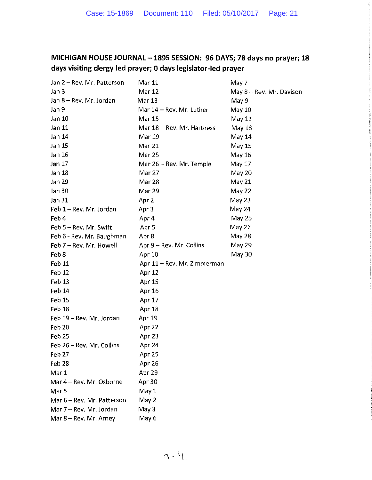# **MICHIGAN HOUSE JOURNAL- 1895 SESSION: 96 DAYS; 78 days no prayer; 18 days visiting clergy led prayer; 0 days legislator-led prayer**

| Jan 2 - Rev. Mr. Patterson | Mar 11                      | May 7                    |
|----------------------------|-----------------------------|--------------------------|
| Jan 3                      | Mar 12                      | May 8 – Rev. Mr. Davison |
| Jan 8 – Rev. Mr. Jordan    | <b>Mar 13</b>               | May 9                    |
| Jan 9                      | Mar 14 - Rev. Mr. Luther    | May 10                   |
| Jan 10                     | <b>Mar 15</b>               | May 11                   |
| Jan 11                     | Mar 18 - Rev. Mr. Hartness  | <b>May 13</b>            |
| Jan 14                     | Mar 19                      | May 14                   |
| Jan 15                     | <b>Mar 21</b>               | May 15                   |
| Jan 16                     | <b>Mar 25</b>               | May 16                   |
| Jan 17                     | Mar 26 - Rev. Mr. Temple    | May 17                   |
| <b>Jan 18</b>              | Mar 27                      | May 20                   |
| Jan 29                     | Mar 28                      | May 21                   |
| Jan 30                     | Mar 29                      | May 22                   |
| Jan 31                     | Apr 2                       | May 23                   |
| Feb 1 - Rev. Mr. Jordan    | Apr 3                       | May 24                   |
| Feb 4                      | Apr 4                       | <b>May 25</b>            |
| Feb 5 - Rev. Mr. Swift     | Apr <sub>5</sub>            | May 27                   |
| Feb 6 - Rev. Mr. Baughman  | Apr 8                       | <b>May 28</b>            |
| Feb 7 - Rev. Mr. Howell    | Apr 9 - Rev. Mr. Collins    | May 29                   |
| Feb 8                      | Apr 10                      | May 30                   |
| Feb 11                     | Apr 11 - Rev. Mr. Zimmerman |                          |
| Feb 12                     | Apr 12                      |                          |
| Feb 13                     | Apr 15                      |                          |
| Feb 14                     | Apr 16                      |                          |
| Feb 15                     | Apr 17                      |                          |
| Feb 18                     | Apr 18                      |                          |
| Feb 19 - Rev. Mr. Jordan   | Apr 19                      |                          |
| Feb 20                     | Apr 22                      |                          |
| Feb 25                     | Apr 23                      |                          |
| Feb 26 - Rev. Mr. Collins  | Apr 24                      |                          |
| Feb 27                     | Apr 25                      |                          |
| Feb 28                     | Apr 26                      |                          |
| Mar 1                      | Apr 29                      |                          |
| Mar 4 - Rev. Mr. Osborne   | Apr 30                      |                          |
| Mar <sub>5</sub>           | May 1                       |                          |
| Mar 6 - Rev. Mr. Patterson | May 2                       |                          |
| Mar 7 - Rev. Mr. Jordan    | May 3                       |                          |
| Mar 8 - Rev. Mr. Arney     | May 6                       |                          |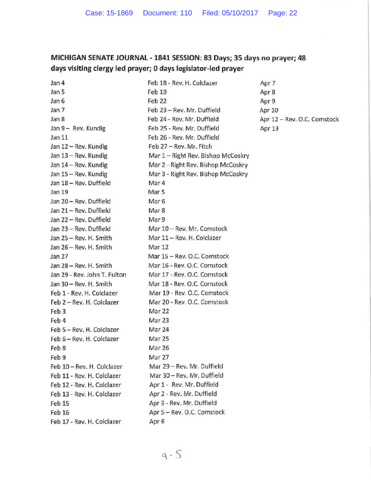# **MICHIGAN SENATE JOURNAL -1841 SESSION: 83 Days; 35 days no prayer; 48 days visiting clergy led prayer; 0 days legislator-led prayer**

| Feb 18 - Rev. H. Colclazer         | Apr |
|------------------------------------|-----|
| Feb 19                             | Apr |
| Feb 22                             | Apr |
| Feb 23 - Rev. Mr. Duffield         | Apr |
| Feb 24 - Rev. Mr. Duffield         | Apr |
| Feb 25 - Rev. Mr. Duffield         | Apr |
| Feb 26 - Rev. Mr. Duffield         |     |
| Feb 27 - Rev. Mr. Fitch            |     |
| Mar 1 – Right Rev. Bishop McCoskry |     |
| Mar 2 - Right Rev. Bishop McCoskry |     |
| Mar 3 - Right Rev. Bishop McCoskry |     |
| Mar 4                              |     |
| Mar 5                              |     |
| Mar <sub>6</sub>                   |     |
| Mar 8                              |     |
| Mar 9                              |     |
| Mar 10 - Rev. Mr. Comstock         |     |
| Mar 11 - Rev. H. Colclazer         |     |
| Mar 12                             |     |
| Mar 15 - Rev. O.C. Comstock        |     |
| Mar 16 - Rev. O.C. Comstock        |     |
| Mar 17 - Rev. O.C. Comstock        |     |
| Mar 18 - Rev. O.C. Comstock        |     |
| Mar 19 - Rev. O.C. Comstock        |     |
| Mar 20 - Rev. O.C. Comstock        |     |
| Mar 22                             |     |
| Mar 23                             |     |
| Mar 24                             |     |
| Mar <sub>25</sub>                  |     |
| Mar 26                             |     |
| Mar 27                             |     |
| Mar 29 - Rev. Mr. Duffield         |     |
| Mar 30 - Rev. Mr. Duffield         |     |
| Apr 1 - Rev. Mr. Duffield          |     |
| Apr 2 - Rev. Mr. Duffield          |     |
| Apr 3 - Rev. Mr. Duffield          |     |
| Apr 5 - Rev. O.C. Comstock         |     |
| Apr 6                              |     |
|                                    |     |

 $r7$ r 8  $r9$ r 10 r 12 - Rev. O.C. Comstock r 13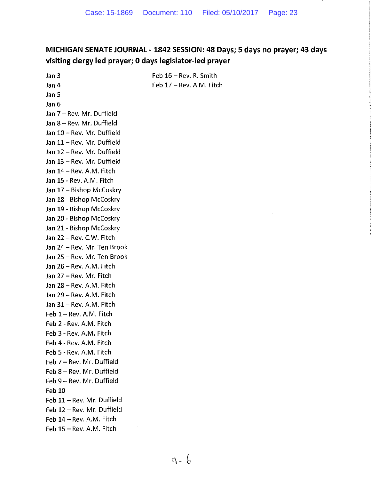# **MICHIGAN SENATE JOURNAL- 1842 SESSION: 48 Days; 5 days no prayer; 43 days visiting clergy led prayer; 0 days legislator-led prayer**

Feb 16- Rev. R. Smith Feb 17 - Rev. A.M. Fitch

Jan 3 Jan 4 Jan 5 Jan 6 Jan 7 - Rev. Mr. Duffield Jan 8 - Rev. Mr. Duffield Jan 10- Rev. Mr. Duffield Jan 11 - Rev. Mr. Duffield Jan 12- Rev. Mr. Duffield Jan 13 - Rev. Mr. Duffield Jan 14 - Rev. A.M. Fitch Jan 15- Rev. A.M. Fitch Jan 17 - Bishop McCoskry Jan 18- Bishop McCoskry Jan 19- Bishop McCoskry Jan 20- Bishop McCoskry Jan 21- Bishop McCoskry Jan 22 - Rev. C.W. Fitch Jan 24- Rev. Mr. Ten Brook Jan 25- Rev. Mr. Ten Brook Jan 26- Rev. A.M. Fitch Jan 27 - Rev. Mr. Fitch Jan 28 - Rev. A.M. Fitch Jan 29 - Rev. A.M. Fitch Jan 31- Rev. A.M. Fitch Feb 1-Rev. A.M. Fitch Feb 2- Rev. A.M. Fitch Feb 3- Rev. A.M. Fitch Feb 4- Rev. A.M. Fitch Feb 5- Rev. A.M. Fitch Feb 7 - Rev. Mr. Duffield Feb 8 - Rev. Mr. Duffield Feb 9- Rev. Mr. Duffield Feb 10 Feb 11 - Rev. Mr. Duffield Feb 12 - Rev. Mr. Duffield Feb 14 - Rev. A.M. Fitch  $Feb$  15 - Rev. A.M. Fitch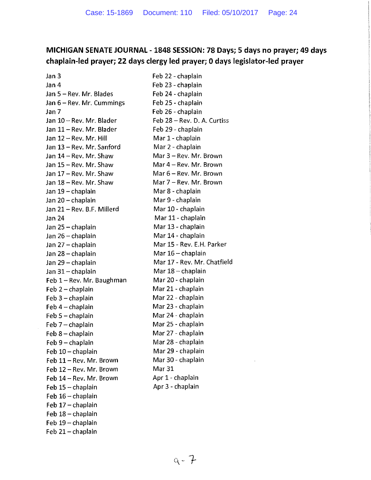## **MICHIGAN SENATE JOURNAL- 1848 SESSION: 78 Days; 5 days no prayer; 49 days chaplain-led prayer; 22 days clergy led prayer; 0 days legislator-led prayer**

Jan 3 Jan 4 Jan 5- Rev. Mr. Blades Jan 6- Rev. Mr. Cummings Jan 7 Jan 10- Rev. Mr. Blader Jan 11- Rev. Mr. Blader Jan 12 - Rev. Mr. Hill Jan 13- Rev. Mr. Sanford Jan 14- Rev. Mr. Shaw Jan 15- Rev. Mr. Shaw Jan 17 - Rev. Mr. Shaw Jan 18- Rev. Mr. Shaw Jan 19 - chaplain Jan 20- chaplain Jan 21 - Rev. B.F. Millerd Jan 24 Jan 25- chaplain Jan 26- chaplain Jan 27- chaplain Jan 28- chaplain Jan 29- chaplain Jan 31 - chaplain Feb 1-Rev. Mr. Baughman  $Feb 2$  - chaplain Feb 3 - chaplain Feb  $4$  - chaplain Feb 5 - chaplain Feb 7- chaplain Feb 8 - chaplain Feb 9 - chaplain Feb 10 - chaplain Feb 11 - Rev. Mr. Brown Feb 12- Rev. Mr. Brown Feb 14 - Rev. Mr. Brown Feb 15 - chaplain Feb 16 - chaplain Feb 17 - chaplain Feb 18 - chaplain Feb 19 - chaplain Feb 21 - chaplain

Feb 22- chaplain Feb 23 - chaplain Feb 24- chaplain Feb 25- chaplain Feb 26- chaplain Feb 28- Rev. D. A. Curtiss Feb 29- chaplain Mar 1- chaplain Mar 2- chaplain Mar 3- Rev. Mr. Brown Mar 4 - Rev. Mr. Brown Mar 6- Rev. Mr. Brown Mar 7 - Rev. Mr. Brown Mar 8- chaplain Mar 9- chaplain Mar 10- chaplain Mar 11- chaplain Mar 13- chaplain Mar 14- chaplain Mar 15 - Rev. E.H. Parker Mar 16 - chaplain Mar 17- Rev. Mr. Chatfield Mar  $18$  - chaplain Mar 20- chaplain Mar 21- chaplain Mar 22- chaplain Mar 23- chaplain Mar 24- chaplain Mar 25- chaplain Mar 27- chaplain Mar 28- chaplain Mar 29- chaplain Mar 30- chaplain Mar 31 Apr 1- chaplain Apr 3- chaplain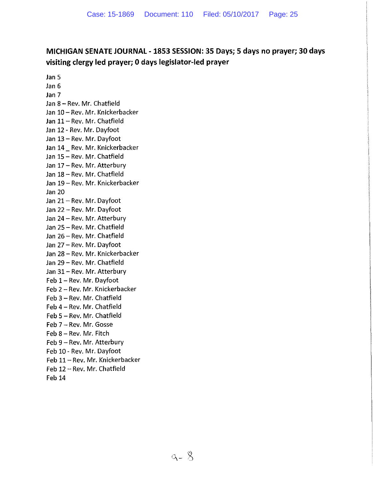# **MICHIGAN SENATE JOURNAL- 1853 SESSION: 35 Days; 5 days no prayer; 30 days visiting clergy led prayer; 0 days legislator-led prayer**

Jan 5 Jan 6 Jan 7 Jan 8 - Rev. Mr. Chatfield Jan 10- Rev. Mr. Knickerbacker Jan 11 - Rev. Mr. Chatfield Jan 12- Rev. Mr. Dayfoot Jan 13 - Rev. Mr. Dayfoot Jan 14 Rev. Mr. Knickerbacker Jan 15- Rev. Mr. Chatfield Jan 17 - Rev. Mr. Atterbury Jan 18- Rev. Mr. Chatfield Jan 19 - Rev. Mr. Knickerbacker Jan 20 Jan 21 - Rev. Mr. Dayfoot Jan 22- Rev. Mr. Dayfoot Jan 24- Rev. Mr. Atterbury Jan 25- Rev. Mr. Chatfield Jan 26- Rev. Mr. Chatfield Jan 27- Rev. Mr. Dayfoot Jan 28- Rev. Mr. Knickerbacker Jan 29- Rev. Mr. Chatfield Jan 31 - Rev. Mr. Atterbury Feb 1 - Rev. Mr. Dayfoot Feb 2- Rev. Mr. Knickerbacker Feb 3- Rev. Mr. Chatfield Feb 4 - Rev. Mr. Chatfield Feb 5- Rev. Mr. Chatfield Feb 7-Rev. Mr. Gosse Feb 8 - Rev. Mr. Fitch Feb 9 - Rev. Mr. Atterbury Feb 10- Rev. Mr. Dayfoot Feb 11 - Rev. Mr. Knickerbacker Feb 12 - Rev. Mr. Chatfield Feb 14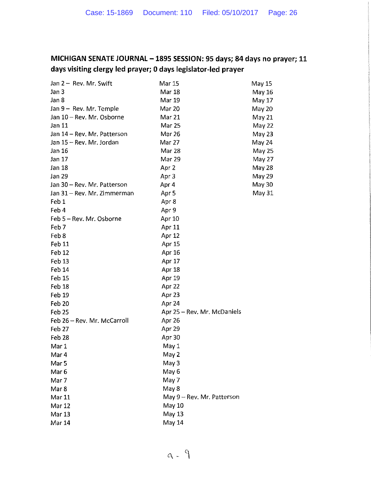# **MICHIGAN SENATE JOURNAL- 189S SESSION: 95 days; 84 days no prayer; 11 days visiting clergy led prayer; 0 days legislator-led prayer**

| Jan 2 - Rev. Mr. Swift      | Mar 15                      | May 15 |
|-----------------------------|-----------------------------|--------|
| Jan 3                       | <b>Mar 18</b>               | May 16 |
| Jan 8                       | Mar 19                      | May 17 |
| $Jan 9 - Rev. Mr. Temple$   | <b>Mar 20</b>               | May 20 |
| Jan 10 - Rev. Mr. Osborne   | Mar 21                      | May 21 |
| Jan 11                      | Mar 25                      | May 22 |
| Jan 14 - Rev. Mr. Patterson | Mar 26                      | May 23 |
| Jan 15 - Rev. Mr. Jordan    | Mar 27                      | May 24 |
| Jan 16                      | Mar 28                      | May 25 |
| Jan 17                      | Mar 29                      | May 27 |
| Jan 18                      | Apr <sub>2</sub>            | May 28 |
| Jan 29                      | Apr 3                       | May 29 |
| Jan 30 – Rev. Mr. Patterson | Apr 4                       | May 30 |
| Jan 31 – Rev. Mr. Zimmerman | Apr 5                       | May 31 |
| Feb 1                       | Apr 8                       |        |
| Feb 4                       | Apr 9                       |        |
| Feb 5 - Rev. Mr. Osborne    | <b>Apr 10</b>               |        |
| Feb 7                       | Apr 11                      |        |
| Feb 8                       | Apr 12                      |        |
| Feb 11                      | Apr 15                      |        |
| Feb 12                      | Apr 16                      |        |
| Feb <sub>13</sub>           | Apr 17                      |        |
| Feb 14                      | Apr 18                      |        |
| Feb 15                      | Apr 19                      |        |
| Feb 18                      | Apr 22                      |        |
| Feb 19                      | Apr 23                      |        |
| Feb 20                      | Apr 24                      |        |
| Feb <sub>25</sub>           | Apr 25 – Rev. Mr. McDaniels |        |
| Feb 26 - Rev. Mr. McCarroll | Apr 26                      |        |
| Feb 27                      | Apr 29                      |        |
| Feb <sub>28</sub>           | Apr 30                      |        |
| Mar 1                       | May 1                       |        |
| Mar 4                       | May 2                       |        |
| Mar <sub>5</sub>            | May 3                       |        |
| Mar <sub>6</sub>            | May 6                       |        |
| Mar 7                       | May 7                       |        |
| Mar 8                       | May 8                       |        |
| Mar 11                      | May 9 - Rev. Mr. Patterson  |        |
| Mar 12                      | May 10                      |        |
| <b>Mar 13</b>               | May 13                      |        |
| Mar 14                      | May 14                      |        |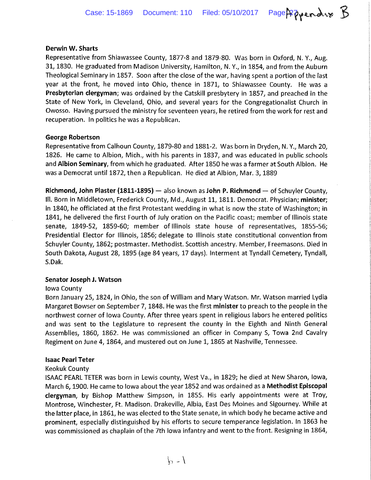#### **Derwin W. Sharts**

Representative from Shiawassee County, 1877-8 and 1879-80. Was born in Oxford, N. Y., Aug. 31, 1830. He graduated from Madison University, Hamilton, N.Y., in 1854, and from the Auburn Theological Seminary in 1857. Soon after the close of the war, having spent a portion of the last year at the front, he moved into Ohio, thence in 1871, to Shiawassee County. He was a **Presbyterian clergyman;** was ordained by the Catskill presbytery in 1857, and preached in the State of New York, in Cleveland, Ohio, and several years for the Congregationalist Church in Owosso. Having pursued the ministry for seventeen years, he retired from the work for rest and recuperation. In politics he was a Republican.

#### **George Robertson**

Representative from Calhoun County, 1879-80 and 1881-2. Was born in Dryden, N.Y., March 20, 1826. He came to Albion, Mich., with his parents in 1837, and was educated in public schools and **Albion Seminary,** from which he graduated. After 1850 he was a farmer at South Albion. He was a Democrat until 1872, then a Republican. He died at Albion, Mar. 3, 1889

**Richmond, John Plaster (1811-1895)-** also known as **John P. Richmond-** of Schuyler County, Ill. Born in Middletown, Frederick County, Md., August 11, 1811. Democrat. Physician; **minister;**  in 1840, he officiated at the first Protestant wedding in what is now the state of Washington; in 1841, he delivered the first Fourth of July oration on the Pacific coast; member of Illinois state senate, 1849-52, 1859-60; member of Illinois state house of representatives, 1855-56; Presidential Elector for Illinois, 1856; delegate to Illinois state constitutional convention from Schuyler County, 1862; postmaster. Methodist. Scottish ancestry. Member, Freemasons. Died in South Dakota, August 28, 1895 (age 84 years, 17 days). Interment at Tyndall Cemetery, Tyndall, S.Dak.

#### **Senator Joseph J. Watson**

#### Iowa County

Born January 25, 1824, in Ohio, the son of William and Mary Watson. Mr. Watson married Lydia Margaret Bowser on September 7, 1848. He was the first **minister** to preach to the people in the northwest corner of Iowa County. After three years spent in religious labors he entered politics and was sent to the Legislature to represent the county in the Eighth and Ninth General Assemblies, 1860, 1862. He was commissioned an officer in Company S, Towa 2nd Cavalry Regiment on June 4, 1864, and mustered out on June 1, 1865 at Nashville, Tennessee.

#### **Isaac Pearl Teter**

#### Keokuk County

ISAAC PEARL TETER was born in Lewis county, West Va., in 1829; he died at New Sharon, Iowa, March 6, 1900. He came to Iowa about the year 1852 and was ordained as a **Methodist Episcopal clergyman,** by Bishop Matthew Simpson, in 1855. His early appointments were at Troy, Montrose, Winchester, Ft. Madison. Drakeville, Albia, East Des Moines and Sigourney. While at the latter place, in 1861, he was elected to the State senate, in which body he became active and prominent, especially distinguished by his efforts to secure temperance legislation. In 1863 he was commissioned as chaplain of the 7th Iowa infantry and went to the front. Resigning in 1864,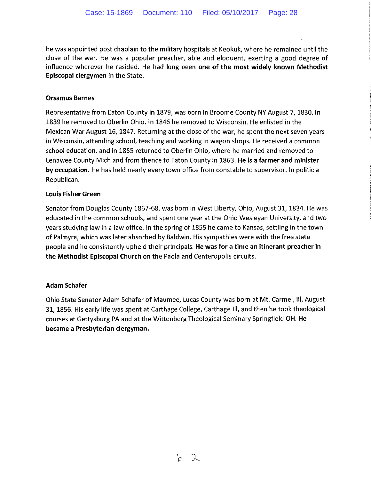he was appointed post chaplain to the military hospitals at Keokuk, where he remained until the close of the war. He was a popular preacher, able and eloquent, exerting a good degree of influence wherever he resided. He had long been one of the most widely known Methodist Episcopal clergymen in the State.

### Orsamus Barnes

Representative from Eaton County in 1879, was born in Broome County NY August 7, 1830. In 1839 he removed to Oberlin Ohio. In 1846 he removed to Wisconsin. He enlisted in the Mexican War August 16, 1847. Returning at the close of the war, he spent the next seven years in Wisconsin, attending school, teaching and working in wagon shops. He received a common school education, and in 1855 returned to Oberlin Ohio, where he married and removed to lenawee County Mich and from thence to Eaton County in 1863. He is a farmer and minister by occupation. He has held nearly every town office from constable to supervisor. In politic a Republican.

### Louis Fisher Green

Senator from Douglas County 1867-68, was born in West Liberty, Ohio, August 31, 1834. He was educated in the common schools, and spent one year at the Ohio Wesleyan University, and two years studying law in a law office. In the spring of 1855 he came to Kansas, settling in the town of Palmyra, which was later absorbed by Baldwin. His sympathies were with the free state people and he consistently upheld their principals. He was for a time an itinerant preacher in the Methodist Episcopal Church on the Paola and Centeropolis circuits.

### Adam Schafer

Ohio State Senator Adam Schafer of Maumee, lucas County was born at Mt. Carmel, Ill, August 31, 1856. His early life was spent at Carthage College, Carthage Ill, and then he took theological courses at Gettysburg PA and at the Wittenberg Theological Seminary Springfield OH. He became a Presbyterian clergyman.